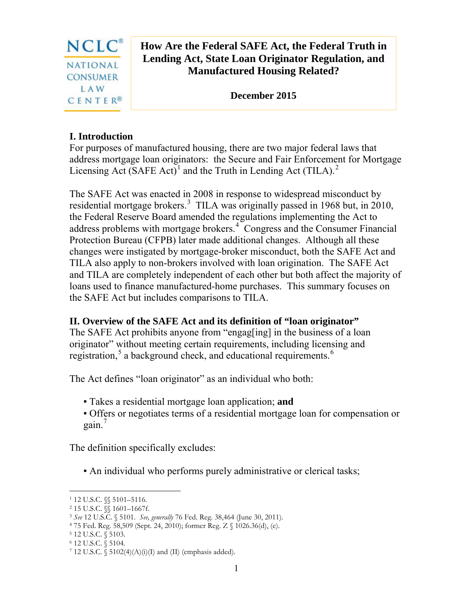

# **How Are the Federal SAFE Act, the Federal Truth in Lending Act, State Loan Originator Regulation, and Manufactured Housing Related?**

**December 2015** 

## **I. Introduction**

For purposes of manufactured housing, there are two major federal laws that address mortgage loan originators: the Secure and Fair Enforcement for Mortgage Licensing Act (SAFE Act)<sup>[1](#page-0-0)</sup> and the Truth in Lending Act (TILA).<sup>[2](#page-0-1)</sup>

The SAFE Act was enacted in 2008 in response to widespread misconduct by residential mortgage brokers.<sup>[3](#page-0-2)</sup> TILA was originally passed in 1968 but, in 2010, the Federal Reserve Board amended the regulations implementing the Act to address problems with mortgage brokers.<sup>[4](#page-0-3)</sup> Congress and the Consumer Financial Protection Bureau (CFPB) later made additional changes. Although all these changes were instigated by mortgage-broker misconduct, both the SAFE Act and TILA also apply to non-brokers involved with loan origination. The SAFE Act and TILA are completely independent of each other but both affect the majority of loans used to finance manufactured-home purchases. This summary focuses on the SAFE Act but includes comparisons to TILA.

## **II. Overview of the SAFE Act and its definition of "loan originator"**

The SAFE Act prohibits anyone from "engag[ing] in the business of a loan originator" without meeting certain requirements, including licensing and registration,<sup>[5](#page-0-4)</sup> a background check, and educational requirements.<sup>[6](#page-0-5)</sup>

The Act defines "loan originator" as an individual who both:

- Takes a residential mortgage loan application; **and**
- Offers or negotiates terms of a residential mortgage loan for compensation or gain. $<sup>7</sup>$  $<sup>7</sup>$  $<sup>7</sup>$ </sup>

The definition specifically excludes:

▪ An individual who performs purely administrative or clerical tasks;

<span id="page-0-0"></span><sup>1</sup> 12 U.S.C. §§ 5101–5116.  $\overline{a}$ 

<span id="page-0-1"></span><sup>2</sup> 15 U.S.C. §§ 1601–1667f.

<span id="page-0-2"></span><sup>3</sup> *See* 12 U.S.C. § 5101. *See, generally* 76 Fed. Reg. 38,464 (June 30, 2011).

<span id="page-0-3"></span><sup>4</sup> 75 Fed. Reg. 58,509 (Sept. 24, 2010); former Reg. Z § 1026.36(d), (e). 5 12 U.S.C. § 5103.

<span id="page-0-4"></span>

<span id="page-0-5"></span><sup>6</sup> 12 U.S.C. § 5104.

<span id="page-0-6"></span> $7$  12 U.S.C.  $\S$  5102(4)(A)(i)(I) and (II) (emphasis added).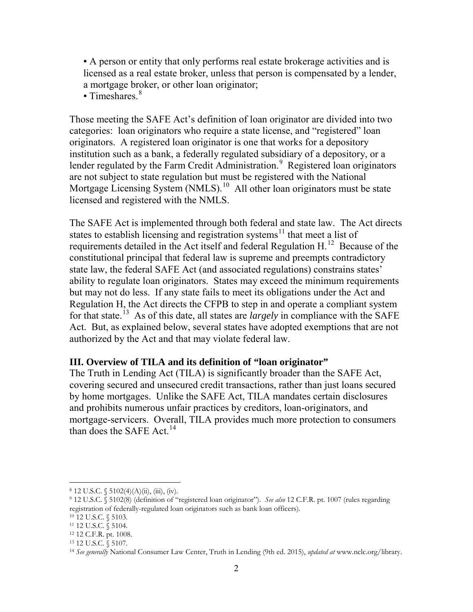▪ A person or entity that only performs real estate brokerage activities and is licensed as a real estate broker, unless that person is compensated by a lender, a mortgage broker, or other loan originator;

 $\blacksquare$  Timeshares.  $8\blacksquare$  $8\blacksquare$ 

Those meeting the SAFE Act's definition of loan originator are divided into two categories: loan originators who require a state license, and "registered" loan originators. A registered loan originator is one that works for a depository institution such as a bank, a federally regulated subsidiary of a depository, or a lender regulated by the Farm Credit Administration.<sup>[9](#page-1-1)</sup> Registered loan originators are not subject to state regulation but must be registered with the National Mortgage Licensing System (NMLS).<sup>[10](#page-1-2)</sup> All other loan originators must be state licensed and registered with the NMLS.

The SAFE Act is implemented through both federal and state law. The Act directs states to establish licensing and registration systems<sup>[11](#page-1-3)</sup> that meet a list of requirements detailed in the Act itself and federal Regulation H.[12](#page-1-4) Because of the constitutional principal that federal law is supreme and preempts contradictory state law, the federal SAFE Act (and associated regulations) constrains states' ability to regulate loan originators. States may exceed the minimum requirements but may not do less. If any state fails to meet its obligations under the Act and Regulation H, the Act directs the CFPB to step in and operate a compliant system for that state.[13](#page-1-5) As of this date, all states are *largely* in compliance with the SAFE Act. But, as explained below, several states have adopted exemptions that are not authorized by the Act and that may violate federal law.

#### **III. Overview of TILA and its definition of "loan originator"**

The Truth in Lending Act (TILA) is significantly broader than the SAFE Act, covering secured and unsecured credit transactions, rather than just loans secured by home mortgages. Unlike the SAFE Act, TILA mandates certain disclosures and prohibits numerous unfair practices by creditors, loan-originators, and mortgage-servicers. Overall, TILA provides much more protection to consumers than does the SAFE Act.<sup>[14](#page-1-6)</sup>

 $\overline{a}$ 

<span id="page-1-1"></span><span id="page-1-0"></span><sup>8 12</sup> U.S.C. § 5102(4)(A)(ii), (iii), (iv).<br>9 12 U.S.C. § 5102(8) (definition of "registered loan originator"). *See also* 12 C.F.R. pt. 1007 (rules regarding registration of federally-regulated loan originators such as bank loan officers).

<span id="page-1-2"></span><sup>10</sup> 12 U.S.C. § 5103.

<span id="page-1-3"></span><sup>11</sup> 12 U.S.C. § 5104.

<span id="page-1-4"></span><sup>12</sup> 12 C.F.R. pt. 1008. 13 12 U.S.C. § 5107.

<span id="page-1-5"></span>

<span id="page-1-6"></span><sup>14</sup> *See generally* National Consumer Law Center, Truth in Lending (9th ed. 2015), *updated at* www.nclc.org/library.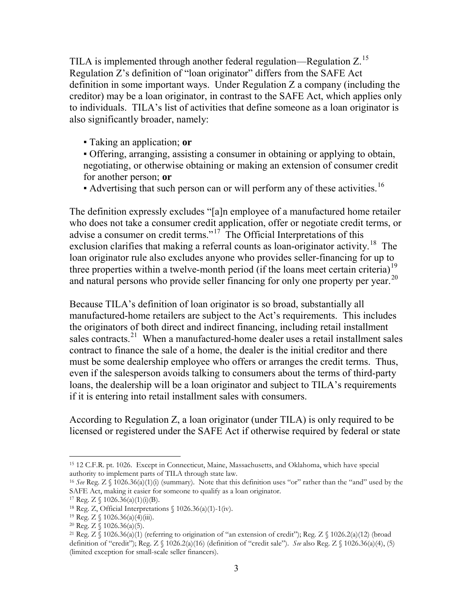TILA is implemented through another federal regulation—Regulation Z.[15](#page-2-0)  Regulation Z's definition of "loan originator" differs from the SAFE Act definition in some important ways. Under Regulation Z a company (including the creditor) may be a loan originator, in contrast to the SAFE Act, which applies only to individuals. TILA's list of activities that define someone as a loan originator is also significantly broader, namely:

- Taking an application; **or**
- Offering, arranging, assisting a consumer in obtaining or applying to obtain, negotiating, or otherwise obtaining or making an extension of consumer credit for another person; **or**
- $\bullet$  Advertising that such person can or will perform any of these activities.<sup>[16](#page-2-1)</sup>

The definition expressly excludes "[a]n employee of a manufactured home retailer who does not take a consumer credit application, offer or negotiate credit terms, or advise a consumer on credit terms."<sup>[17](#page-2-2)</sup> The Official Interpretations of this exclusion clarifies that making a referral counts as loan-originator activity.<sup>18</sup> The loan originator rule also excludes anyone who provides seller-financing for up to three properties within a twelve-month period (if the loans meet certain criteria)<sup>[19](#page-2-4)</sup> and natural persons who provide seller financing for only one property per year.<sup>[20](#page-2-5)</sup>

Because TILA's definition of loan originator is so broad, substantially all manufactured-home retailers are subject to the Act's requirements. This includes the originators of both direct and indirect financing, including retail installment sales contracts.<sup>21</sup> When a manufactured-home dealer uses a retail installment sales contract to finance the sale of a home, the dealer is the initial creditor and there must be some dealership employee who offers or arranges the credit terms. Thus, even if the salesperson avoids talking to consumers about the terms of third-party loans, the dealership will be a loan originator and subject to TILA's requirements if it is entering into retail installment sales with consumers.

According to Regulation Z, a loan originator (under TILA) is only required to be licensed or registered under the SAFE Act if otherwise required by federal or state

<span id="page-2-0"></span><sup>15</sup> 12 C.F.R. pt. 1026. Except in Connecticut, Maine, Massachusetts, and Oklahoma, which have special authority to implement parts of TILA through state law.  $\overline{a}$ 

<span id="page-2-1"></span><sup>16</sup> *See* Reg. Z § 1026.36(a)(1)(i) (summary). Note that this definition uses "or" rather than the "and" used by the SAFE Act, making it easier for someone to qualify as a loan originator.

<span id="page-2-3"></span><span id="page-2-2"></span><sup>&</sup>lt;sup>17</sup> Reg. Z § 1026.36(a)(1)(i)(B).<br><sup>18</sup> Reg. Z, Official Interpretations § 1026.36(a)(1)-1(iv).<br><sup>19</sup> Reg. Z § 1026.36(a)(4)(iii).

<span id="page-2-6"></span><span id="page-2-5"></span><span id="page-2-4"></span><sup>&</sup>lt;sup>20</sup> Reg. Z § 1026.36(a)(5). <br><sup>21</sup> Reg. Z § 1026.36(a)(1) (referring to origination of "an extension of credit"); Reg. Z § 1026.2(a)(12) (broad definition of "credit"); Reg. Z § 1026.2(a)(16) (definition of "credit sale"). *See* also Reg. Z § 1026.36(a)(4), (5) (limited exception for small-scale seller financers).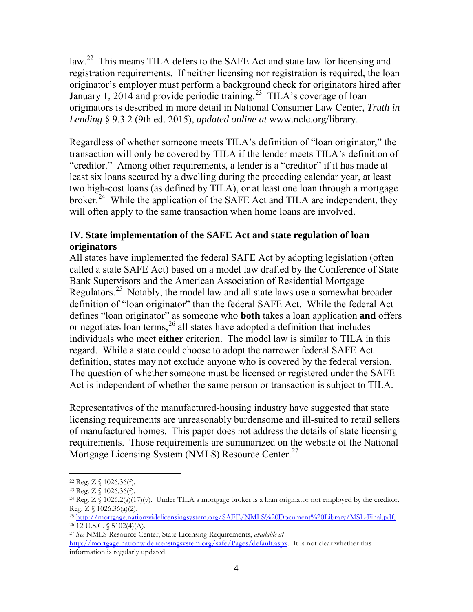law.<sup>[22](#page-3-0)</sup> This means TILA defers to the SAFE Act and state law for licensing and registration requirements. If neither licensing nor registration is required, the loan originator's employer must perform a background check for originators hired after January 1, 2014 and provide periodic training.<sup>23</sup> TILA's coverage of loan originators is described in more detail in National Consumer Law Center, *Truth in Lending* § 9.3.2 (9th ed. 2015), *updated online at* www.nclc.org/library.

Regardless of whether someone meets TILA's definition of "loan originator," the transaction will only be covered by TILA if the lender meets TILA's definition of "creditor." Among other requirements, a lender is a "creditor" if it has made at least six loans secured by a dwelling during the preceding calendar year, at least two high-cost loans (as defined by TILA), or at least one loan through a mortgage broker.<sup>[24](#page-3-2)</sup> While the application of the SAFE Act and TILA are independent, they will often apply to the same transaction when home loans are involved.

### **IV. State implementation of the SAFE Act and state regulation of loan originators**

All states have implemented the federal SAFE Act by adopting legislation (often called a state SAFE Act) based on a model law drafted by the Conference of State Bank Supervisors and the American Association of Residential Mortgage Regulators.[25](#page-3-3) Notably, the model law and all state laws use a somewhat broader definition of "loan originator" than the federal SAFE Act. While the federal Act defines "loan originator" as someone who **both** takes a loan application **and** offers or negotiates loan terms,<sup>[26](#page-3-4)</sup> all states have adopted a definition that includes individuals who meet **either** criterion. The model law is similar to TILA in this regard. While a state could choose to adopt the narrower federal SAFE Act definition, states may not exclude anyone who is covered by the federal version. The question of whether someone must be licensed or registered under the SAFE Act is independent of whether the same person or transaction is subject to TILA.

Representatives of the manufactured-housing industry have suggested that state licensing requirements are unreasonably burdensome and ill-suited to retail sellers of manufactured homes. This paper does not address the details of state licensing requirements. Those requirements are summarized on the website of the National Mortgage Licensing System (NMLS) Resource Center.<sup>[27](#page-3-5)</sup>

<span id="page-3-2"></span><span id="page-3-1"></span>

<span id="page-3-0"></span><sup>&</sup>lt;sup>22</sup> Reg. Z § 1026.36(f).<br><sup>23</sup> Reg. Z § 1026.36(f).<br><sup>24</sup> Reg. Z § 1026.2(a)(17)(v). Under TILA a mortgage broker is a loan originator not employed by the creditor. Reg.  $Z \$  1026.36(a)(2).

<span id="page-3-4"></span><span id="page-3-3"></span><sup>25</sup> http://mortgage.nationwidelicensingsystem.org/SAFE/NMLS%20Document%20Library/MSL-Final.pdf.  $26$  12 U.S.C. § 5102(4)(A).

<sup>27</sup> *See* NMLS Resource Center, State Licensing Requirements, *available at*

<span id="page-3-5"></span>http://mortgage.nationwidelicensingsystem.org/safe/Pages/default.aspx. It is not clear whether this information is regularly updated.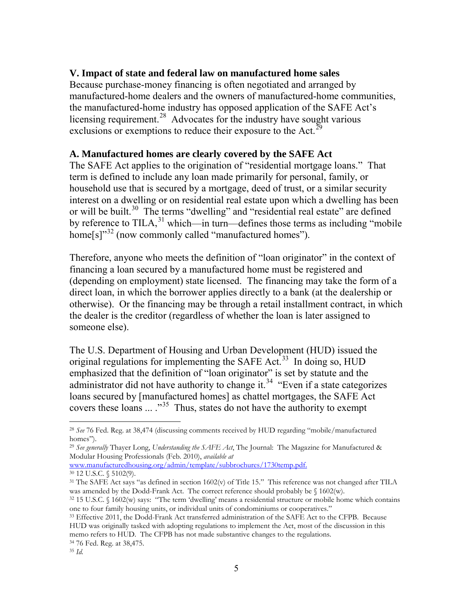### **V. Impact of state and federal law on manufactured home sales**

Because purchase-money financing is often negotiated and arranged by manufactured-home dealers and the owners of manufactured-home communities, the manufactured-home industry has opposed application of the SAFE Act's licensing requirement.<sup>[28](#page-4-0)</sup> Advocates for the industry have sought various exclusions or exemptions to reduce their exposure to the Act.<sup>[29](#page-4-1)</sup>

#### **A. Manufactured homes are clearly covered by the SAFE Act**

The SAFE Act applies to the origination of "residential mortgage loans." That term is defined to include any loan made primarily for personal, family, or household use that is secured by a mortgage, deed of trust, or a similar security interest on a dwelling or on residential real estate upon which a dwelling has been or will be built.<sup>[30](#page-4-2)</sup> The terms "dwelling" and "residential real estate" are defined by reference to TILA, $31$  which—in turn—defines those terms as including "mobile  $home[s]$ <sup>[32](#page-4-4)</sup> (now commonly called "manufactured homes").

Therefore, anyone who meets the definition of "loan originator" in the context of financing a loan secured by a manufactured home must be registered and (depending on employment) state licensed. The financing may take the form of a direct loan, in which the borrower applies directly to a bank (at the dealership or otherwise). Or the financing may be through a retail installment contract, in which the dealer is the creditor (regardless of whether the loan is later assigned to someone else).

The U.S. Department of Housing and Urban Development (HUD) issued the original regulations for implementing the SAFE Act.<sup>33</sup> In doing so,  $HUD$ emphasized that the definition of "loan originator" is set by statute and the administrator did not have authority to change it.<sup>[34](#page-4-6)</sup> "Even if a state categorizes" loans secured by [manufactured homes] as chattel mortgages, the SAFE Act covers these loans  $\ldots$ <sup>[35](#page-4-7)</sup> Thus, states do not have the authority to exempt

www.manufacturedhousing.org/admin/template/subbrochures/1730temp.pdf. <sup>30</sup> 12 U.S.C. § 5102(9).

<span id="page-4-0"></span><sup>28</sup> *See* 76 Fed. Reg. at 38,474 (discussing comments received by HUD regarding "mobile/manufactured homes").

<span id="page-4-1"></span><sup>29</sup> *See generally* Thayer Long, *Understanding the SAFE Act*, The Journal: The Magazine for Manufactured & Modular Housing Professionals (Feb. 2010), *available at*

<span id="page-4-3"></span><span id="page-4-2"></span><sup>&</sup>lt;sup>31</sup> The SAFE Act says "as defined in section 1602(v) of Title 15." This reference was not changed after TILA was amended by the Dodd-Frank Act. The correct reference should probably be § 1602(w).

<span id="page-4-4"></span><sup>32</sup> 15 U.S.C. § 1602(w) says: "The term 'dwelling' means a residential structure or mobile home which contains one to four family housing units, or individual units of condominiums or cooperatives."<br><sup>33</sup> Effective 2011, the Dodd-Frank Act transferred administration of the SAFE Act to the CFPB. Because

<span id="page-4-7"></span><span id="page-4-6"></span><span id="page-4-5"></span>HUD was originally tasked with adopting regulations to implement the Act, most of the discussion in this memo refers to HUD. The CFPB has not made substantive changes to the regulations. <sup>34</sup> 76 Fed. Reg. at 38,475.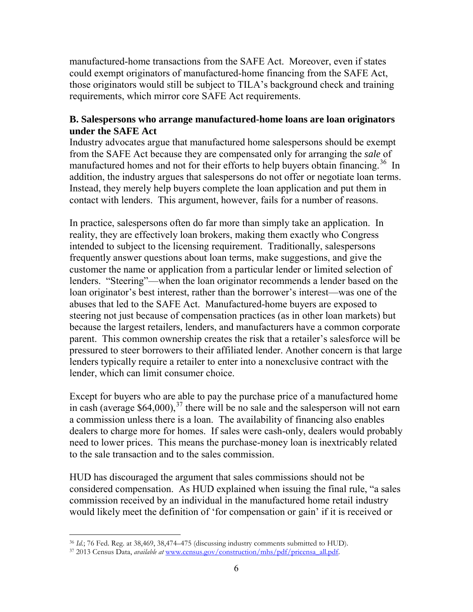manufactured-home transactions from the SAFE Act. Moreover, even if states could exempt originators of manufactured-home financing from the SAFE Act, those originators would still be subject to TILA's background check and training requirements, which mirror core SAFE Act requirements.

### **B. Salespersons who arrange manufactured-home loans are loan originators under the SAFE Act**

Industry advocates argue that manufactured home salespersons should be exempt from the SAFE Act because they are compensated only for arranging the *sale* of manufactured homes and not for their efforts to help buyers obtain financing.<sup>36</sup> In addition, the industry argues that salespersons do not offer or negotiate loan terms. Instead, they merely help buyers complete the loan application and put them in contact with lenders. This argument, however, fails for a number of reasons.

In practice, salespersons often do far more than simply take an application. In reality, they are effectively loan brokers, making them exactly who Congress intended to subject to the licensing requirement. Traditionally, salespersons frequently answer questions about loan terms, make suggestions, and give the customer the name or application from a particular lender or limited selection of lenders. "Steering"—when the loan originator recommends a lender based on the loan originator's best interest, rather than the borrower's interest—was one of the abuses that led to the SAFE Act. Manufactured-home buyers are exposed to steering not just because of compensation practices (as in other loan markets) but because the largest retailers, lenders, and manufacturers have a common corporate parent. This common ownership creates the risk that a retailer's salesforce will be pressured to steer borrowers to their affiliated lender. Another concern is that large lenders typically require a retailer to enter into a nonexclusive contract with the lender, which can limit consumer choice.

Except for buyers who are able to pay the purchase price of a manufactured home in cash (average  $$64,000$ ),<sup>37</sup> there will be no sale and the salesperson will not earn a commission unless there is a loan. The availability of financing also enables dealers to charge more for homes. If sales were cash-only, dealers would probably need to lower prices. This means the purchase-money loan is inextricably related to the sale transaction and to the sales commission.

HUD has discouraged the argument that sales commissions should not be considered compensation. As HUD explained when issuing the final rule, "a sales commission received by an individual in the manufactured home retail industry would likely meet the definition of 'for compensation or gain' if it is received or

<sup>36</sup> *Id.*; 76 Fed. Reg. at 38,469, 38,474–475 (discussing industry comments submitted to HUD).  $\overline{a}$ 

<span id="page-5-1"></span><span id="page-5-0"></span><sup>37</sup> 2013 Census Data, *available at* www.census.gov/construction/mhs/pdf/pricensa\_all.pdf.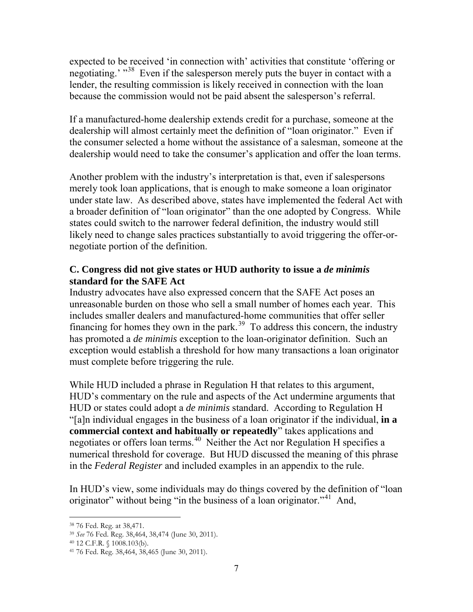expected to be received 'in connection with' activities that constitute 'offering or negotiating.' "<sup>[38](#page-6-0)</sup> Even if the salesperson merely puts the buyer in contact with a lender, the resulting commission is likely received in connection with the loan because the commission would not be paid absent the salesperson's referral.

If a manufactured-home dealership extends credit for a purchase, someone at the dealership will almost certainly meet the definition of "loan originator." Even if the consumer selected a home without the assistance of a salesman, someone at the dealership would need to take the consumer's application and offer the loan terms.

Another problem with the industry's interpretation is that, even if salespersons merely took loan applications, that is enough to make someone a loan originator under state law. As described above, states have implemented the federal Act with a broader definition of "loan originator" than the one adopted by Congress. While states could switch to the narrower federal definition, the industry would still likely need to change sales practices substantially to avoid triggering the offer-ornegotiate portion of the definition.

## **C. Congress did not give states or HUD authority to issue a** *de minimis* **standard for the SAFE Act**

Industry advocates have also expressed concern that the SAFE Act poses an unreasonable burden on those who sell a small number of homes each year. This includes smaller dealers and manufactured-home communities that offer seller financing for homes they own in the park.<sup>[39](#page-6-1)</sup> To address this concern, the industry has promoted a *de minimis* exception to the loan-originator definition. Such an exception would establish a threshold for how many transactions a loan originator must complete before triggering the rule.

While HUD included a phrase in Regulation H that relates to this argument, HUD's commentary on the rule and aspects of the Act undermine arguments that HUD or states could adopt a *de minimis* standard. According to Regulation H "[a]n individual engages in the business of a loan originator if the individual, **in a commercial context and habitually or repeatedly**" takes applications and negotiates or offers loan terms.<sup>40</sup> Neither the Act nor Regulation H specifies a numerical threshold for coverage. But HUD discussed the meaning of this phrase in the *Federal Register* and included examples in an appendix to the rule.

In HUD's view, some individuals may do things covered by the definition of "loan originator" without being "in the business of a loan originator."<sup>[41](#page-6-3)</sup> And,

<span id="page-6-0"></span><sup>38</sup> 76 Fed. Reg. at 38,471. 39 *See* 76 Fed. Reg. 38,464, 38,474 (June 30, 2011).

<span id="page-6-3"></span><span id="page-6-2"></span><span id="page-6-1"></span><sup>40</sup> 12 C.F.R. § 1008.103(b). 41 76 Fed. Reg. 38,464, 38,465 (June 30, 2011).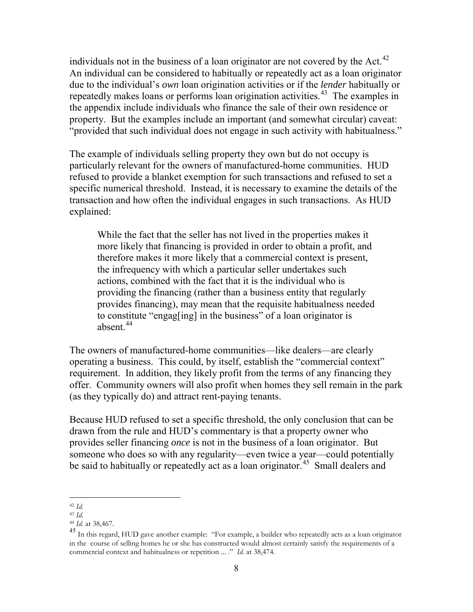individuals not in the business of a loan originator are not covered by the Act. $^{42}$ An individual can be considered to habitually or repeatedly act as a loan originator due to the individual's *own* loan origination activities or if the *lender* habitually or repeatedly makes loans or performs loan origination activities.<sup>[43](#page-7-1)</sup> The examples in the appendix include individuals who finance the sale of their own residence or property. But the examples include an important (and somewhat circular) caveat: "provided that such individual does not engage in such activity with habitualness."

The example of individuals selling property they own but do not occupy is particularly relevant for the owners of manufactured-home communities. HUD refused to provide a blanket exemption for such transactions and refused to set a specific numerical threshold. Instead, it is necessary to examine the details of the transaction and how often the individual engages in such transactions. As HUD explained:

While the fact that the seller has not lived in the properties makes it more likely that financing is provided in order to obtain a profit, and therefore makes it more likely that a commercial context is present, the infrequency with which a particular seller undertakes such actions, combined with the fact that it is the individual who is providing the financing (rather than a business entity that regularly provides financing), may mean that the requisite habitualness needed to constitute "engag[ing] in the business" of a loan originator is absent  $44$ 

The owners of manufactured-home communities—like dealers—are clearly operating a business. This could, by itself, establish the "commercial context" requirement. In addition, they likely profit from the terms of any financing they offer. Community owners will also profit when homes they sell remain in the park (as they typically do) and attract rent-paying tenants.

Because HUD refused to set a specific threshold, the only conclusion that can be drawn from the rule and HUD's commentary is that a property owner who provides seller financing *once* is not in the business of a loan originator. But someone who does so with any regularity—even twice a year—could potentially be said to habitually or repeatedly act as a loan originator.<sup>45</sup> Small dealers and

<sup>42</sup> *Id.*  $\overline{a}$ 

<span id="page-7-1"></span><span id="page-7-0"></span><sup>&</sup>lt;sup>43</sup> *Id.* <br><sup>44</sup> *Id.* at 38,467.

<span id="page-7-3"></span><span id="page-7-2"></span><sup>&</sup>lt;sup>45</sup> In this regard, HUD gave another example: "For example, a builder who repeatedly acts as a loan originator in the course of selling homes he or she has constructed would almost certainly satisfy the requirements of a commercial context and habitualness or repetition ... ." *Id.* at 38,474.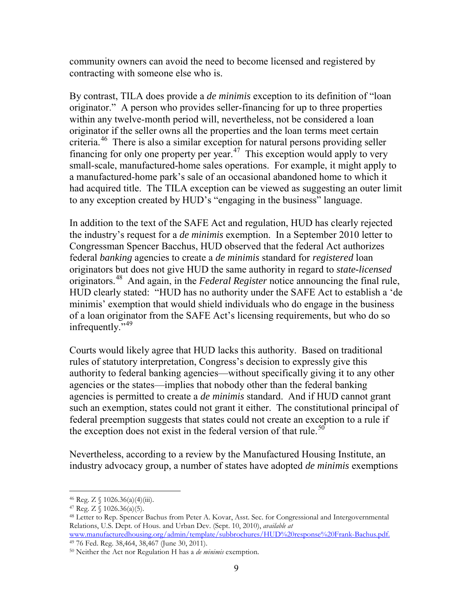community owners can avoid the need to become licensed and registered by contracting with someone else who is.

By contrast, TILA does provide a *de minimis* exception to its definition of "loan originator." A person who provides seller-financing for up to three properties within any twelve-month period will, nevertheless, not be considered a loan originator if the seller owns all the properties and the loan terms meet certain criteria.[46](#page-8-0) There is also a similar exception for natural persons providing seller financing for only one property per year.<sup>[47](#page-8-1)</sup> This exception would apply to very small-scale, manufactured-home sales operations. For example, it might apply to a manufactured-home park's sale of an occasional abandoned home to which it had acquired title. The TILA exception can be viewed as suggesting an outer limit to any exception created by HUD's "engaging in the business" language.

In addition to the text of the SAFE Act and regulation, HUD has clearly rejected the industry's request for a *de minimis* exemption. In a September 2010 letter to Congressman Spencer Bacchus, HUD observed that the federal Act authorizes federal *banking* agencies to create a *de minimis* standard for *registered* loan originators but does not give HUD the same authority in regard to *state-licensed* originators.[48](#page-8-2) And again, in the *Federal Register* notice announcing the final rule, HUD clearly stated: "HUD has no authority under the SAFE Act to establish a 'de minimis' exemption that would shield individuals who do engage in the business of a loan originator from the SAFE Act's licensing requirements, but who do so infrequently."<sup>[49](#page-8-3)</sup>

Courts would likely agree that HUD lacks this authority. Based on traditional rules of statutory interpretation, Congress's decision to expressly give this authority to federal banking agencies—without specifically giving it to any other agencies or the states—implies that nobody other than the federal banking agencies is permitted to create a *de minimis* standard. And if HUD cannot grant such an exemption, states could not grant it either. The constitutional principal of federal preemption suggests that states could not create an exception to a rule if the exception does not exist in the federal version of that rule.<sup>[50](#page-8-4)</sup>

Nevertheless, according to a review by the Manufactured Housing Institute, an industry advocacy group, a number of states have adopted *de minimis* exemptions

<span id="page-8-2"></span>

<span id="page-8-1"></span><span id="page-8-0"></span><sup>&</sup>lt;sup>46</sup> Reg. Z § 1026.36(a)(4)(iii).<br><sup>47</sup> Reg. Z § 1026.36(a)(5).<br><sup>48</sup> Letter to Rep. Spencer Bachus from Peter A. Kovar, Asst. Sec. for Congressional and Intergovernmental Relations, U.S. Dept. of Hous. and Urban Dev. (Sept. 10, 2010), *available at*

<span id="page-8-3"></span>www.manufacturedhousing.org/admin/template/subbrochures/HUD%20response%20Frank-Bachus.pdf. <sup>49</sup> 76 Fed. Reg. 38,464, 38,467 (June 30, 2011).

<span id="page-8-4"></span><sup>50</sup> Neither the Act nor Regulation H has a *de minimis* exemption.